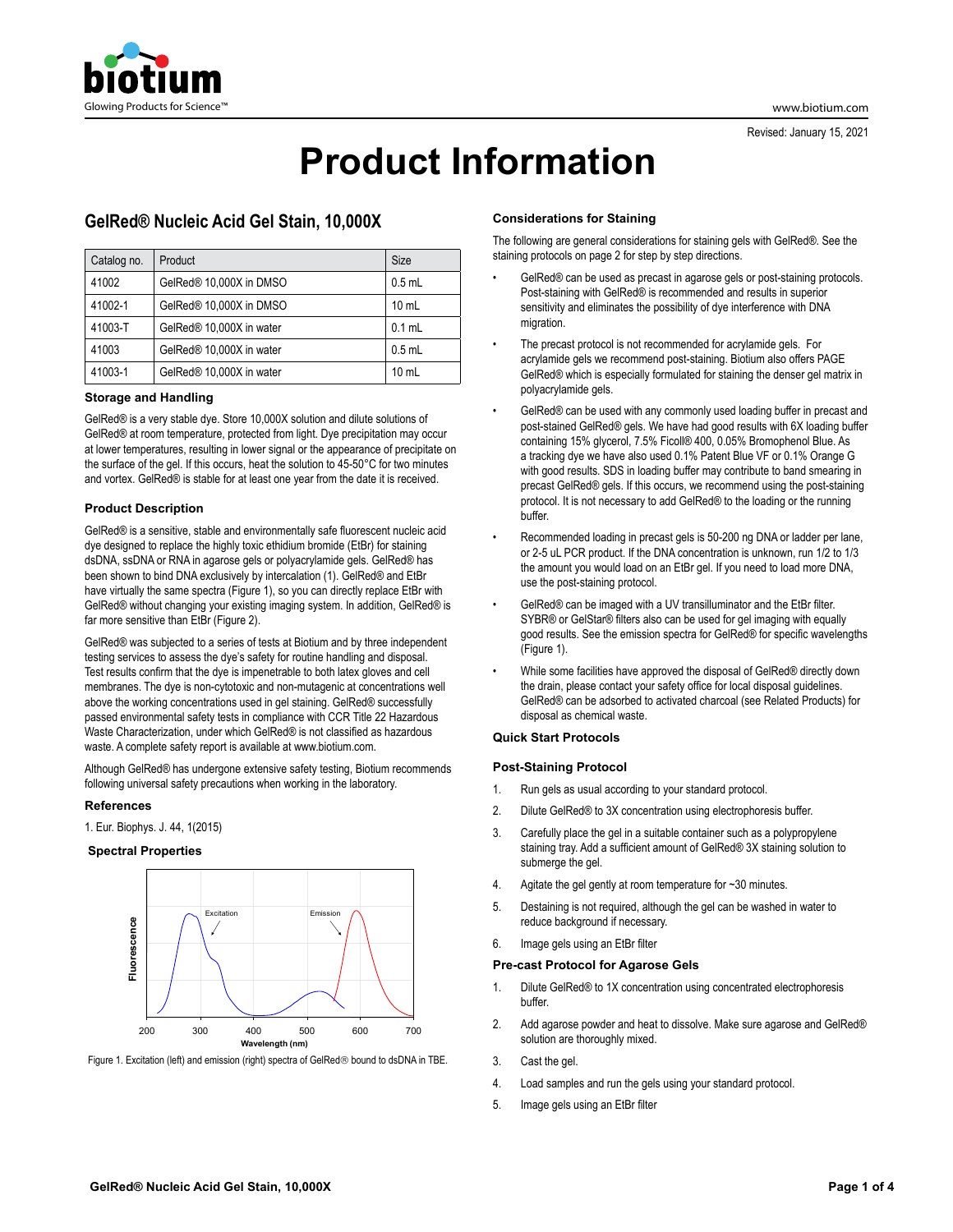

# **Product Information**

## **GelRed® Nucleic Acid Gel Stain, 10,000X**

| Catalog no. | Product                  | Size            |
|-------------|--------------------------|-----------------|
| 41002       | GelRed® 10,000X in DMSO  | $0.5$ mL        |
| 41002-1     | GelRed® 10,000X in DMSO  | $10 \text{ mL}$ |
| 41003-T     | GelRed® 10,000X in water | $0.1$ mL        |
| 41003       | GelRed® 10,000X in water | $0.5$ mL        |
| 41003-1     | GelRed® 10,000X in water | $10 \text{ mL}$ |

#### **Storage and Handling**

GelRed® is a very stable dye. Store 10,000X solution and dilute solutions of GelRed® at room temperature, protected from light. Dye precipitation may occur at lower temperatures, resulting in lower signal or the appearance of precipitate on the surface of the gel. If this occurs, heat the solution to 45-50°C for two minutes and vortex. GelRed® is stable for at least one year from the date it is received.

## **Product Description**

GelRed® is a sensitive, stable and environmentally safe fluorescent nucleic acid dye designed to replace the highly toxic ethidium bromide (EtBr) for staining dsDNA, ssDNA or RNA in agarose gels or polyacrylamide gels. GelRed® has been shown to bind DNA exclusively by intercalation (1). GelRed® and EtBr have virtually the same spectra (Figure 1), so you can directly replace EtBr with GelRed® without changing your existing imaging system. In addition, GelRed® is far more sensitive than EtBr (Figure 2).

GelRed® was subjected to a series of tests at Biotium and by three independent testing services to assess the dye's safety for routine handling and disposal. Test results confirm that the dye is impenetrable to both latex gloves and cell membranes. The dye is non-cytotoxic and non-mutagenic at concentrations well above the working concentrations used in gel staining. GelRed® successfully passed environmental safety tests in compliance with CCR Title 22 Hazardous Waste Characterization, under which GelRed® is not classified as hazardous waste. A complete safety report is available at www.biotium.com.

Although GelRed® has undergone extensive safety testing, Biotium recommends following universal safety precautions when working in the laboratory.

## **References**

1. Eur. Biophys. J. 44, 1(2015)

#### **Spectral Properties**



Figure 1. Excitation (left) and emission (right) spectra of GelRed<sup>®</sup> bound to dsDNA in TBE.

## **Considerations for Staining**

The following are general considerations for staining gels with GelRed®. See the staining protocols on page 2 for step by step directions.

- GelRed® can be used as precast in agarose gels or post-staining protocols. Post-staining with GelRed® is recommended and results in superior sensitivity and eliminates the possibility of dye interference with DNA migration.
- The precast protocol is not recommended for acrylamide gels. For acrylamide gels we recommend post-staining. Biotium also offers PAGE GelRed® which is especially formulated for staining the denser gel matrix in polyacrylamide gels.
- GelRed® can be used with any commonly used loading buffer in precast and post-stained GelRed® gels. We have had good results with 6X loading buffer containing 15% glycerol, 7.5% Ficoll® 400, 0.05% Bromophenol Blue. As a tracking dye we have also used 0.1% Patent Blue VF or 0.1% Orange G with good results. SDS in loading buffer may contribute to band smearing in precast GelRed® gels. If this occurs, we recommend using the post-staining protocol. It is not necessary to add GelRed® to the loading or the running buffer.
- Recommended loading in precast gels is 50-200 ng DNA or ladder per lane, or 2-5 uL PCR product. If the DNA concentration is unknown, run 1/2 to 1/3 the amount you would load on an EtBr gel. If you need to load more DNA, use the post-staining protocol.
- GelRed® can be imaged with a UV transilluminator and the EtBr filter. SYBR® or GelStar® filters also can be used for gel imaging with equally good results. See the emission spectra for GelRed® for specific wavelengths (Figure 1).
- While some facilities have approved the disposal of GelRed® directly down the drain, please contact your safety office for local disposal guidelines. GelRed® can be adsorbed to activated charcoal (see Related Products) for disposal as chemical waste.

## **Quick Start Protocols**

#### **Post-Staining Protocol**

- 1. Run gels as usual according to your standard protocol.
- 2. Dilute GelRed® to 3X concentration using electrophoresis buffer.
- 3. Carefully place the gel in a suitable container such as a polypropylene staining tray. Add a sufficient amount of GelRed® 3X staining solution to submerge the gel.
- 4. Agitate the gel gently at room temperature for ~30 minutes.
- 5. Destaining is not required, although the gel can be washed in water to reduce background if necessary.
- 6. Image gels using an EtBr filter

#### **Pre-cast Protocol for Agarose Gels**

- 1. Dilute GelRed® to 1X concentration using concentrated electrophoresis buffer.
- 2. Add agarose powder and heat to dissolve. Make sure agarose and GelRed® solution are thoroughly mixed.
- 3. Cast the gel.
- 4. Load samples and run the gels using your standard protocol.
- 5. Image gels using an EtBr filter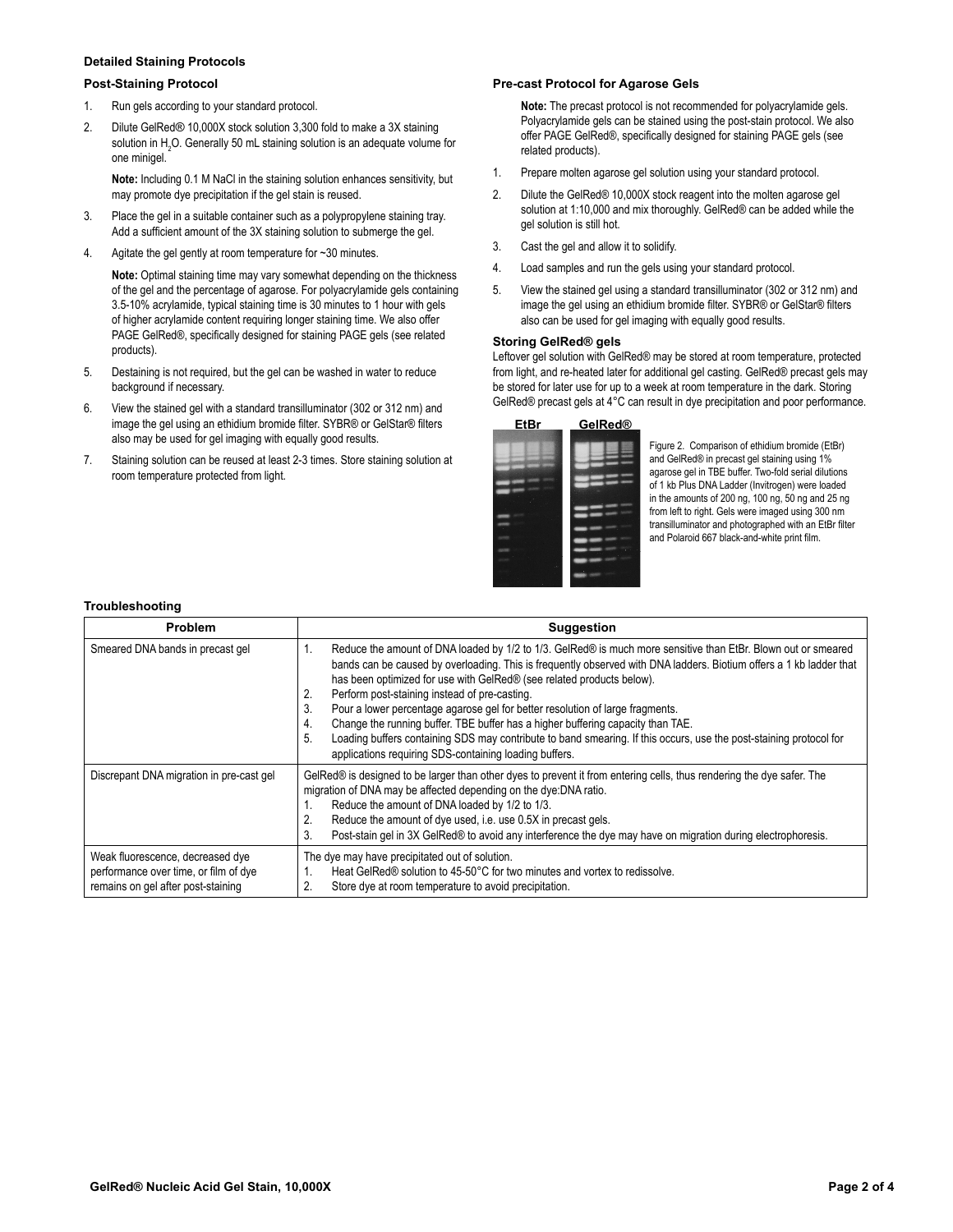## **Detailed Staining Protocols**

#### **Post-Staining Protocol**

- 1. Run gels according to your standard protocol.
- 2. Dilute GelRed® 10,000X stock solution 3,300 fold to make a 3X staining solution in  $H_2O$ . Generally 50 mL staining solution is an adequate volume for one minigel.

**Note:** Including 0.1 M NaCl in the staining solution enhances sensitivity, but may promote dye precipitation if the gel stain is reused.

- 3. Place the gel in a suitable container such as a polypropylene staining tray. Add a sufficient amount of the 3X staining solution to submerge the gel.
- 4. Agitate the gel gently at room temperature for ~30 minutes.

**Note:** Optimal staining time may vary somewhat depending on the thickness of the gel and the percentage of agarose. For polyacrylamide gels containing 3.5-10% acrylamide, typical staining time is 30 minutes to 1 hour with gels of higher acrylamide content requiring longer staining time. We also offer PAGE GelRed®, specifically designed for staining PAGE gels (see related products).

- 5. Destaining is not required, but the gel can be washed in water to reduce background if necessary.
- 6. View the stained gel with a standard transilluminator (302 or 312 nm) and image the gel using an ethidium bromide filter. SYBR® or GelStar® filters also may be used for gel imaging with equally good results.
- 7. Staining solution can be reused at least 2-3 times. Store staining solution at room temperature protected from light.

#### **Pre-cast Protocol for Agarose Gels**

**Note:** The precast protocol is not recommended for polyacrylamide gels. Polyacrylamide gels can be stained using the post-stain protocol. We also offer PAGE GelRed®, specifically designed for staining PAGE gels (see related products).

- 1. Prepare molten agarose gel solution using your standard protocol.
- 2. Dilute the GelRed® 10,000X stock reagent into the molten agarose gel solution at 1:10,000 and mix thoroughly. GelRed® can be added while the gel solution is still hot.
- 3. Cast the gel and allow it to solidify.
- 4. Load samples and run the gels using your standard protocol.
- 5. View the stained gel using a standard transilluminator (302 or 312 nm) and image the gel using an ethidium bromide filter. SYBR® or GelStar® filters also can be used for gel imaging with equally good results.

#### **Storing GelRed® gels**

Leftover gel solution with GelRed® may be stored at room temperature, protected from light, and re-heated later for additional gel casting. GelRed® precast gels may be stored for later use for up to a week at room temperature in the dark. Storing GelRed® precast gels at 4°C can result in dye precipitation and poor performance.

| <b>EtBr</b> | <b>GelRed®</b> |
|-------------|----------------|
|             |                |
|             |                |
|             |                |
|             |                |
|             |                |
|             |                |

Figure 2. Comparison of ethidium bromide (EtBr) and GelRed® in precast gel staining using 1% agarose gel in TBE buffer. Two-fold serial dilutions of 1 kb Plus DNA Ladder (Invitrogen) were loaded in the amounts of 200 ng, 100 ng,  $50$  ng and 25 ng from left to right. Gels were imaged using 300 nm transilluminator and photographed with an EtBr filter and Polaroid 667 black-and-white print film.

#### **Troubleshooting**

| <b>Problem</b>                                                                                                  | <b>Suggestion</b>                                                                                                                                                                                                                                                                                                                                                                                                                                                                                                                                                                                                                                                                                                                          |
|-----------------------------------------------------------------------------------------------------------------|--------------------------------------------------------------------------------------------------------------------------------------------------------------------------------------------------------------------------------------------------------------------------------------------------------------------------------------------------------------------------------------------------------------------------------------------------------------------------------------------------------------------------------------------------------------------------------------------------------------------------------------------------------------------------------------------------------------------------------------------|
| Smeared DNA bands in precast gel                                                                                | Reduce the amount of DNA loaded by 1/2 to 1/3. GelRed® is much more sensitive than EtBr. Blown out or smeared<br>bands can be caused by overloading. This is frequently observed with DNA ladders. Biotium offers a 1 kb ladder that<br>has been optimized for use with GelRed® (see related products below).<br>Perform post-staining instead of pre-casting.<br>2.<br>Pour a lower percentage agarose gel for better resolution of large fragments.<br>3.<br>Change the running buffer. TBE buffer has a higher buffering capacity than TAE.<br>4.<br>Loading buffers containing SDS may contribute to band smearing. If this occurs, use the post-staining protocol for<br>5.<br>applications requiring SDS-containing loading buffers. |
| Discrepant DNA migration in pre-cast gel                                                                        | GelRed® is designed to be larger than other dyes to prevent it from entering cells, thus rendering the dye safer. The<br>migration of DNA may be affected depending on the dye: DNA ratio.<br>Reduce the amount of DNA loaded by 1/2 to 1/3.<br>Reduce the amount of dye used, i.e. use 0.5X in precast gels.<br>Post-stain gel in 3X GelRed® to avoid any interference the dye may have on migration during electrophoresis.<br>3.                                                                                                                                                                                                                                                                                                        |
| Weak fluorescence, decreased dye<br>performance over time, or film of dye<br>remains on gel after post-staining | The dye may have precipitated out of solution.<br>Heat GelRed® solution to 45-50 °C for two minutes and vortex to redissolve.<br>Store dye at room temperature to avoid precipitation.                                                                                                                                                                                                                                                                                                                                                                                                                                                                                                                                                     |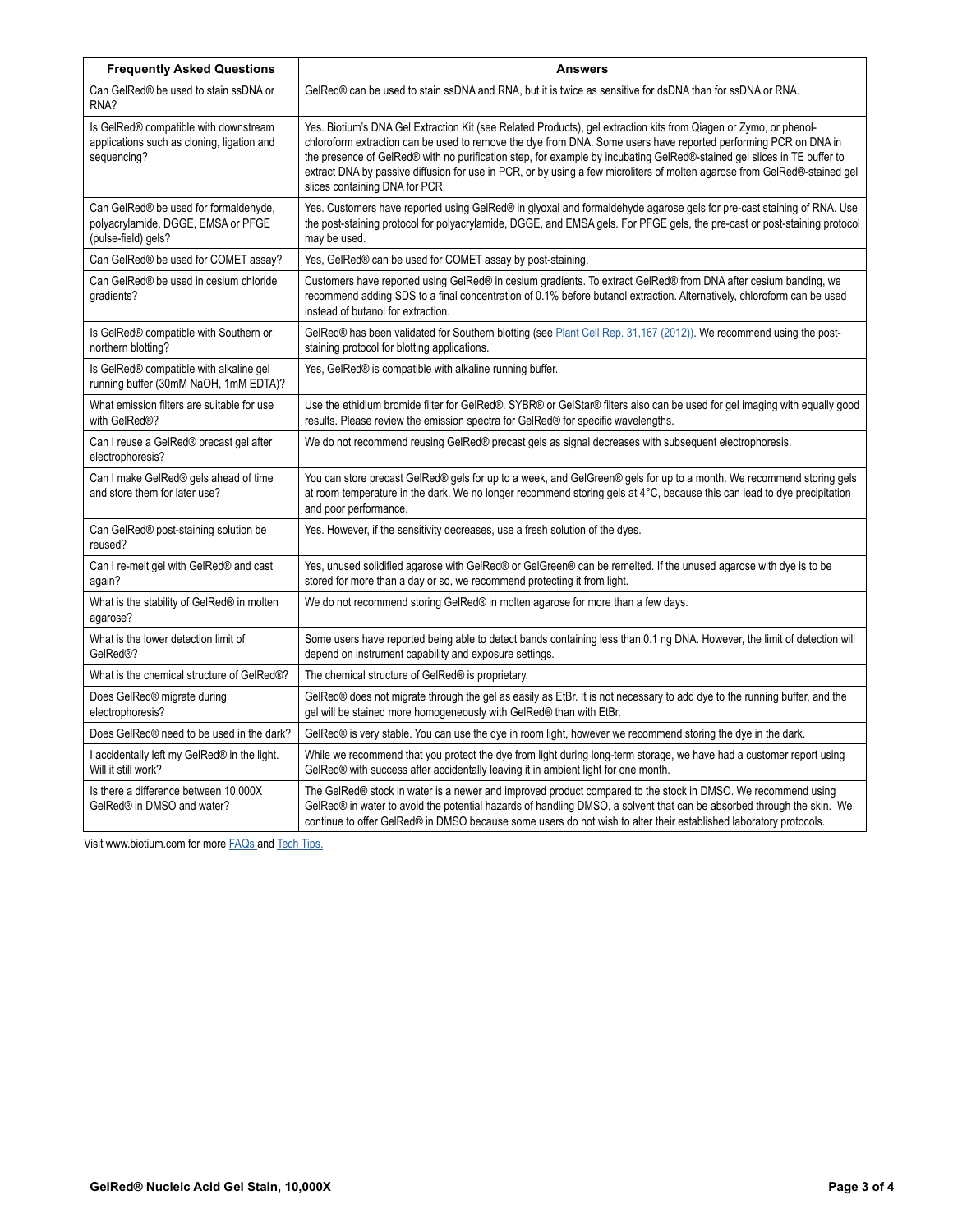| <b>Frequently Asked Questions</b>                                                                  | <b>Answers</b>                                                                                                                                                                                                                                                                                                                                                                                                                                                                                                                 |
|----------------------------------------------------------------------------------------------------|--------------------------------------------------------------------------------------------------------------------------------------------------------------------------------------------------------------------------------------------------------------------------------------------------------------------------------------------------------------------------------------------------------------------------------------------------------------------------------------------------------------------------------|
| Can GelRed® be used to stain ssDNA or<br>RNA?                                                      | GelRed® can be used to stain ssDNA and RNA, but it is twice as sensitive for dsDNA than for ssDNA or RNA.                                                                                                                                                                                                                                                                                                                                                                                                                      |
| Is GelRed® compatible with downstream<br>applications such as cloning, ligation and<br>sequencing? | Yes. Biotium's DNA Gel Extraction Kit (see Related Products), gel extraction kits from Qiagen or Zymo, or phenol-<br>chloroform extraction can be used to remove the dye from DNA. Some users have reported performing PCR on DNA in<br>the presence of GelRed® with no purification step, for example by incubating GelRed®-stained gel slices in TE buffer to<br>extract DNA by passive diffusion for use in PCR, or by using a few microliters of molten agarose from GelRed®-stained gel<br>slices containing DNA for PCR. |
| Can GelRed® be used for formaldehyde,<br>polyacrylamide, DGGE, EMSA or PFGE<br>(pulse-field) gels? | Yes. Customers have reported using GelRed® in glyoxal and formaldehyde agarose gels for pre-cast staining of RNA. Use<br>the post-staining protocol for polyacrylamide, DGGE, and EMSA gels. For PFGE gels, the pre-cast or post-staining protocol<br>may be used.                                                                                                                                                                                                                                                             |
| Can GelRed® be used for COMET assay?                                                               | Yes, GelRed® can be used for COMET assay by post-staining.                                                                                                                                                                                                                                                                                                                                                                                                                                                                     |
| Can GelRed® be used in cesium chloride<br>gradients?                                               | Customers have reported using GelRed® in cesium gradients. To extract GelRed® from DNA after cesium banding, we<br>recommend adding SDS to a final concentration of 0.1% before butanol extraction. Alternatively, chloroform can be used<br>instead of butanol for extraction.                                                                                                                                                                                                                                                |
| Is GelRed® compatible with Southern or<br>northern blotting?                                       | GelRed® has been validated for Southern blotting (see Plant Cell Rep. 31,167 (2012)). We recommend using the post-<br>staining protocol for blotting applications.                                                                                                                                                                                                                                                                                                                                                             |
| Is GelRed® compatible with alkaline gel<br>running buffer (30mM NaOH, 1mM EDTA)?                   | Yes, GelRed® is compatible with alkaline running buffer.                                                                                                                                                                                                                                                                                                                                                                                                                                                                       |
| What emission filters are suitable for use<br>with GelRed®?                                        | Use the ethidium bromide filter for GeIRed®. SYBR® or GeIStar® filters also can be used for gel imaging with equally good<br>results. Please review the emission spectra for GelRed® for specific wavelengths.                                                                                                                                                                                                                                                                                                                 |
| Can I reuse a GelRed® precast gel after<br>electrophoresis?                                        | We do not recommend reusing GeIRed® precast gels as signal decreases with subsequent electrophoresis.                                                                                                                                                                                                                                                                                                                                                                                                                          |
| Can I make GelRed® gels ahead of time<br>and store them for later use?                             | You can store precast GeIRed® gels for up to a week, and GeIGreen® gels for up to a month. We recommend storing gels<br>at room temperature in the dark. We no longer recommend storing gels at 4°C, because this can lead to dye precipitation<br>and poor performance.                                                                                                                                                                                                                                                       |
| Can GelRed® post-staining solution be<br>reused?                                                   | Yes. However, if the sensitivity decreases, use a fresh solution of the dyes.                                                                                                                                                                                                                                                                                                                                                                                                                                                  |
| Can I re-melt gel with GelRed <sup>®</sup> and cast<br>again?                                      | Yes, unused solidified agarose with GelRed® or GelGreen® can be remelted. If the unused agarose with dye is to be<br>stored for more than a day or so, we recommend protecting it from light.                                                                                                                                                                                                                                                                                                                                  |
| What is the stability of GelRed® in molten<br>agarose?                                             | We do not recommend storing GelRed® in molten agarose for more than a few days.                                                                                                                                                                                                                                                                                                                                                                                                                                                |
| What is the lower detection limit of<br>GelRed <sup>®?</sup>                                       | Some users have reported being able to detect bands containing less than 0.1 ng DNA. However, the limit of detection will<br>depend on instrument capability and exposure settings.                                                                                                                                                                                                                                                                                                                                            |
| What is the chemical structure of GelRed®?                                                         | The chemical structure of GelRed® is proprietary.                                                                                                                                                                                                                                                                                                                                                                                                                                                                              |
| Does GelRed <sup>®</sup> migrate during<br>electrophoresis?                                        | GelRed® does not migrate through the gel as easily as EtBr. It is not necessary to add dye to the running buffer, and the<br>gel will be stained more homogeneously with GelRed® than with EtBr.                                                                                                                                                                                                                                                                                                                               |
| Does GelRed® need to be used in the dark?                                                          | GelRed® is very stable. You can use the dye in room light, however we recommend storing the dye in the dark.                                                                                                                                                                                                                                                                                                                                                                                                                   |
| I accidentally left my GelRed® in the light.<br>Will it still work?                                | While we recommend that you protect the dye from light during long-term storage, we have had a customer report using<br>GelRed® with success after accidentally leaving it in ambient light for one month.                                                                                                                                                                                                                                                                                                                     |
| Is there a difference between 10,000X<br>GelRed® in DMSO and water?                                | The GelRed® stock in water is a newer and improved product compared to the stock in DMSO. We recommend using<br>GelRed® in water to avoid the potential hazards of handling DMSO, a solvent that can be absorbed through the skin. We<br>continue to offer GelRed® in DMSO because some users do not wish to alter their established laboratory protocols.                                                                                                                                                                     |

Visit www.biotium.com for more [FAQs](https://biotium.com/faqs/) and [Tech Tips.](https://biotium.com/support/tech-tips/)